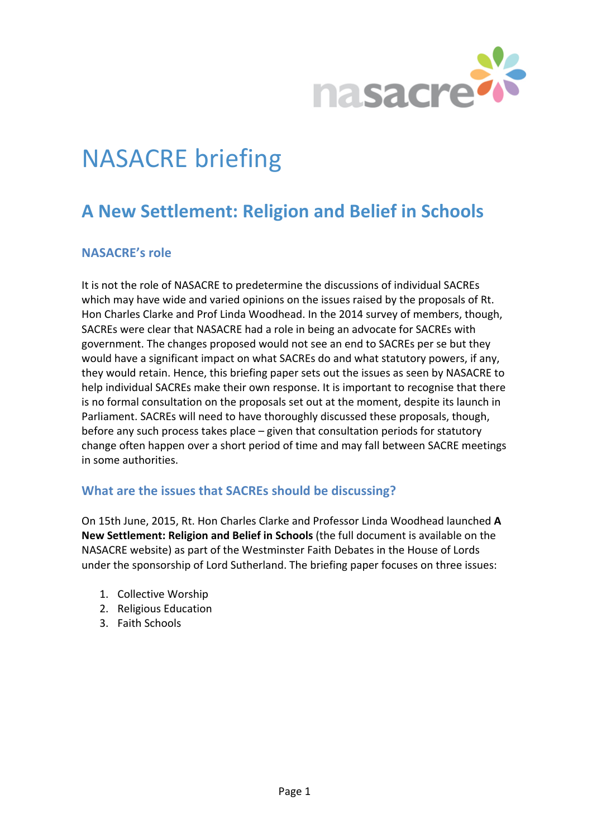

# **NASACRE** briefing

# **A New Settlement: Religion and Belief in Schools**

# **NASACRE's** role

It is not the role of NASACRE to predetermine the discussions of individual SACREs which may have wide and varied opinions on the issues raised by the proposals of Rt. Hon Charles Clarke and Prof Linda Woodhead. In the 2014 survey of members, though, SACREs were clear that NASACRE had a role in being an advocate for SACREs with government. The changes proposed would not see an end to SACREs per se but they would have a significant impact on what SACREs do and what statutory powers, if any, they would retain. Hence, this briefing paper sets out the issues as seen by NASACRE to help individual SACREs make their own response. It is important to recognise that there is no formal consultation on the proposals set out at the moment, despite its launch in Parliament. SACREs will need to have thoroughly discussed these proposals, though, before any such process takes place  $-$  given that consultation periods for statutory change often happen over a short period of time and may fall between SACRE meetings in some authorities.

# **What are the issues that SACREs should be discussing?**

On 15th June, 2015, Rt. Hon Charles Clarke and Professor Linda Woodhead launched A **New Settlement: Religion and Belief in Schools** (the full document is available on the NASACRE website) as part of the Westminster Faith Debates in the House of Lords under the sponsorship of Lord Sutherland. The briefing paper focuses on three issues:

- 1. Collective Worship
- 2. Religious Education
- 3. Faith Schools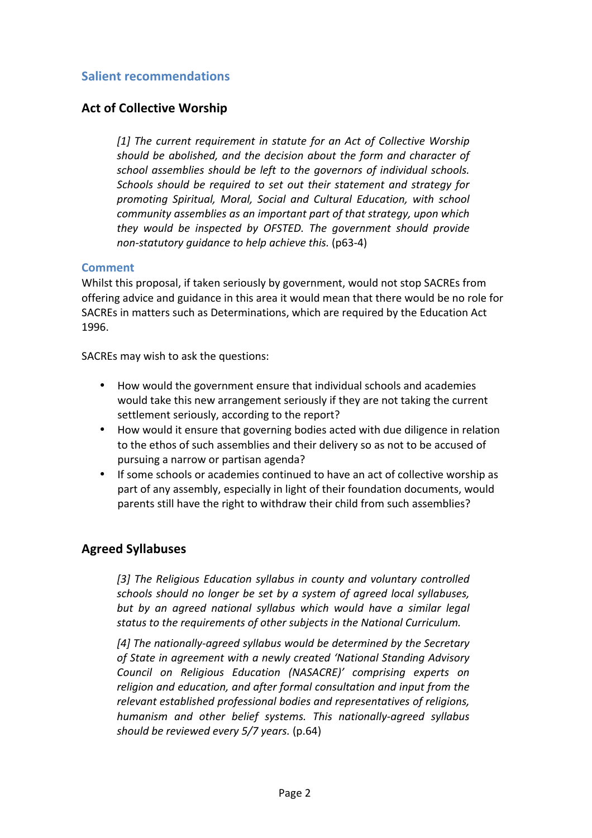#### **Salient recommendations**

#### **Act of Collective Worship**

[1] The current requirement in statute for an Act of Collective Worship *should be abolished, and the decision about the form and character of* school assemblies should be left to the governors of individual schools. *Schools should be required to set out their statement and strategy for* promoting Spiritual, Moral, Social and Cultural Education, with school *community assemblies as an important part of that strategy, upon which they* would be inspected by OFSTED. The government should provide *non-statutory guidance to help achieve this.* (p63-4)

#### **Comment**

Whilst this proposal, if taken seriously by government, would not stop SACREs from offering advice and guidance in this area it would mean that there would be no role for SACREs in matters such as Determinations, which are required by the Education Act 1996.

SACREs may wish to ask the questions:

- How would the government ensure that individual schools and academies would take this new arrangement seriously if they are not taking the current settlement seriously, according to the report?
- How would it ensure that governing bodies acted with due diligence in relation to the ethos of such assemblies and their delivery so as not to be accused of pursuing a narrow or partisan agenda?
- If some schools or academies continued to have an act of collective worship as part of any assembly, especially in light of their foundation documents, would parents still have the right to withdraw their child from such assemblies?

#### **Agreed Syllabuses**

[3] The Religious Education syllabus in county and voluntary controlled *schools should no longer be set by a system of agreed local syllabuses,* but by an gareed national syllabus which would have a similar legal status to the requirements of other subjects in the National Curriculum.

[4] The nationally-agreed syllabus would be determined by the Secretary of State in agreement with a newly created 'National Standing Advisory *Council on Religious Education (NASACRE)' comprising experts on*  religion and education, and after formal consultation and input from the relevant established professional bodies and representatives of religions, *humanism and other belief systems. This nationally-agreed syllabus should be reviewed every 5/7 years.* (p.64)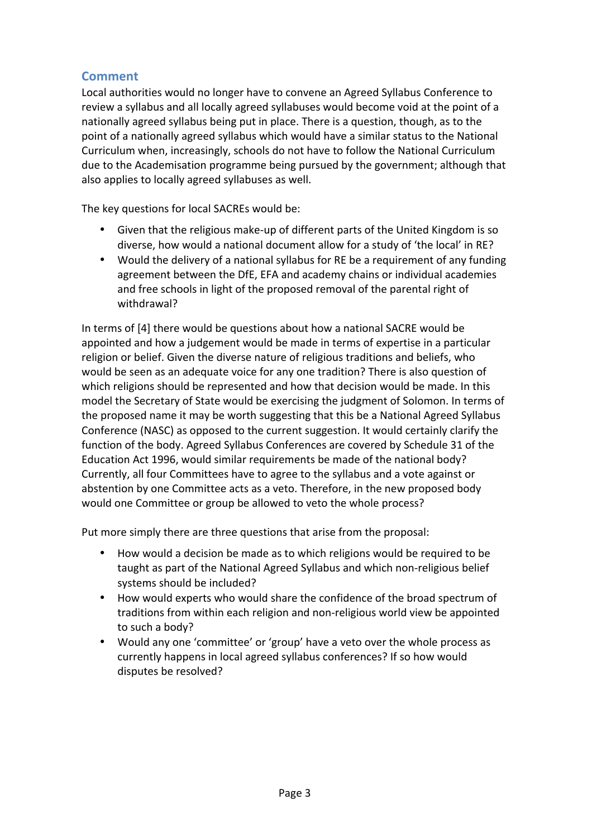# **Comment**

Local authorities would no longer have to convene an Agreed Syllabus Conference to review a syllabus and all locally agreed syllabuses would become void at the point of a nationally agreed syllabus being put in place. There is a question, though, as to the point of a nationally agreed syllabus which would have a similar status to the National Curriculum when, increasingly, schools do not have to follow the National Curriculum due to the Academisation programme being pursued by the government; although that also applies to locally agreed syllabuses as well.

The key questions for local SACREs would be:

- Given that the religious make-up of different parts of the United Kingdom is so diverse, how would a national document allow for a study of 'the local' in RE?
- Would the delivery of a national syllabus for RE be a requirement of any funding agreement between the DfE, EFA and academy chains or individual academies and free schools in light of the proposed removal of the parental right of withdrawal?

In terms of [4] there would be questions about how a national SACRE would be appointed and how a judgement would be made in terms of expertise in a particular religion or belief. Given the diverse nature of religious traditions and beliefs, who would be seen as an adequate voice for any one tradition? There is also question of which religions should be represented and how that decision would be made. In this model the Secretary of State would be exercising the judgment of Solomon. In terms of the proposed name it may be worth suggesting that this be a National Agreed Syllabus Conference (NASC) as opposed to the current suggestion. It would certainly clarify the function of the body. Agreed Syllabus Conferences are covered by Schedule 31 of the Education Act 1996, would similar requirements be made of the national body? Currently, all four Committees have to agree to the syllabus and a vote against or abstention by one Committee acts as a veto. Therefore, in the new proposed body would one Committee or group be allowed to veto the whole process?

Put more simply there are three questions that arise from the proposal:

- How would a decision be made as to which religions would be required to be taught as part of the National Agreed Syllabus and which non-religious belief systems should be included?
- How would experts who would share the confidence of the broad spectrum of traditions from within each religion and non-religious world view be appointed to such a body?
- Would any one 'committee' or 'group' have a veto over the whole process as currently happens in local agreed syllabus conferences? If so how would disputes be resolved?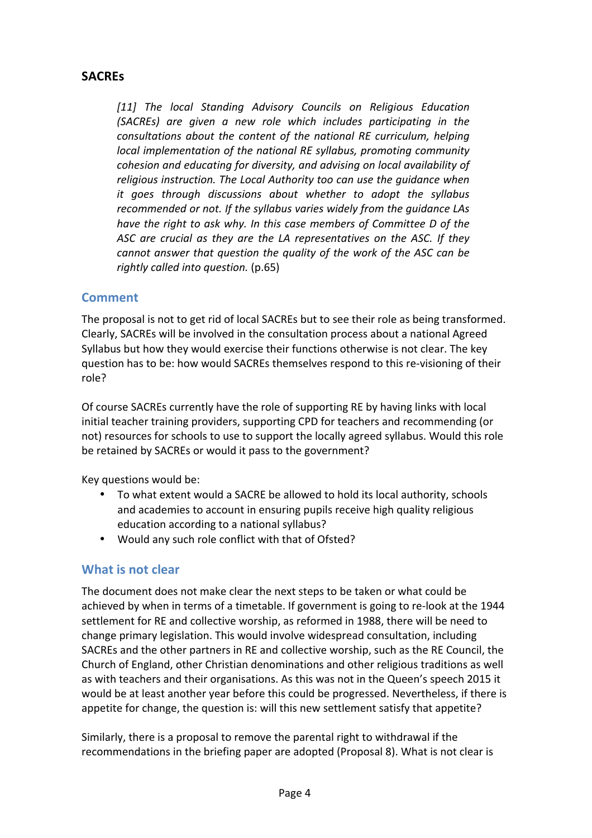# **SACREs**

[11] The local Standing Advisory Councils on Religious Education *(SACREs) are given a new role which includes participating in the consultations about the content of the national RE curriculum, helping local implementation of the national RE syllabus, promoting community cohesion and educating for diversity, and advising on local availability of* religious instruction. The Local Authority too can use the guidance when *it* goes through discussions about whether to adopt the syllabus recommended or not. If the syllabus varies widely from the guidance LAs *have the right to ask why. In this case members of Committee D of the* ASC are crucial as they are the LA representatives on the ASC. If they *cannot answer that question the quality of the work of the ASC can be rightly called into question.* (p.65)

#### **Comment**

The proposal is not to get rid of local SACREs but to see their role as being transformed. Clearly, SACREs will be involved in the consultation process about a national Agreed Syllabus but how they would exercise their functions otherwise is not clear. The key question has to be: how would SACREs themselves respond to this re-visioning of their role?

Of course SACREs currently have the role of supporting RE by having links with local initial teacher training providers, supporting CPD for teachers and recommending (or not) resources for schools to use to support the locally agreed syllabus. Would this role be retained by SACREs or would it pass to the government?

Key questions would be:

- To what extent would a SACRE be allowed to hold its local authority, schools and academies to account in ensuring pupils receive high quality religious education according to a national syllabus?
- Would any such role conflict with that of Ofsted?

# **What is not clear**

The document does not make clear the next steps to be taken or what could be achieved by when in terms of a timetable. If government is going to re-look at the 1944 settlement for RE and collective worship, as reformed in 1988, there will be need to change primary legislation. This would involve widespread consultation, including SACREs and the other partners in RE and collective worship, such as the RE Council, the Church of England, other Christian denominations and other religious traditions as well as with teachers and their organisations. As this was not in the Queen's speech 2015 it would be at least another year before this could be progressed. Nevertheless, if there is appetite for change, the question is: will this new settlement satisfy that appetite?

Similarly, there is a proposal to remove the parental right to withdrawal if the recommendations in the briefing paper are adopted (Proposal 8). What is not clear is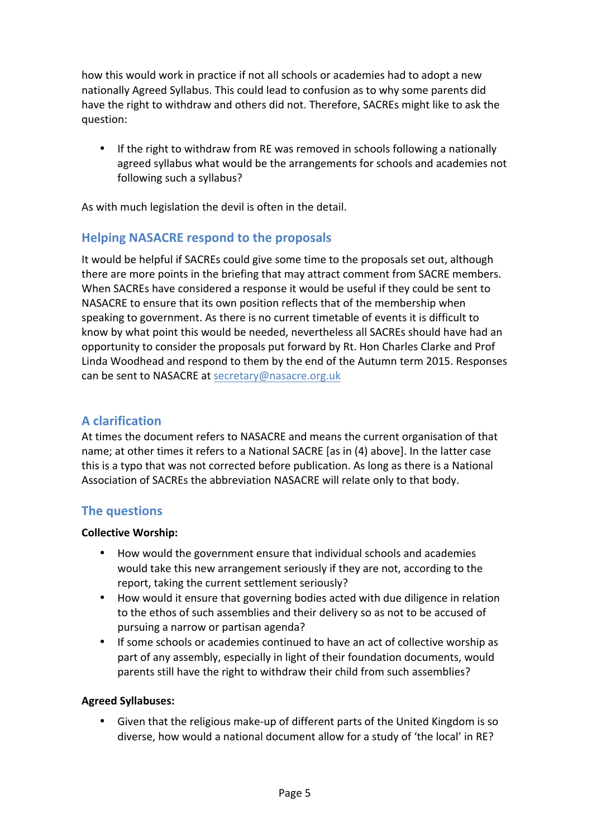how this would work in practice if not all schools or academies had to adopt a new nationally Agreed Syllabus. This could lead to confusion as to why some parents did have the right to withdraw and others did not. Therefore, SACREs might like to ask the question:

• If the right to withdraw from RE was removed in schools following a nationally agreed syllabus what would be the arrangements for schools and academies not following such a syllabus?

As with much legislation the devil is often in the detail.

# **Helping NASACRE respond to the proposals**

It would be helpful if SACREs could give some time to the proposals set out, although there are more points in the briefing that may attract comment from SACRE members. When SACREs have considered a response it would be useful if they could be sent to NASACRE to ensure that its own position reflects that of the membership when speaking to government. As there is no current timetable of events it is difficult to know by what point this would be needed, nevertheless all SACREs should have had an opportunity to consider the proposals put forward by Rt. Hon Charles Clarke and Prof Linda Woodhead and respond to them by the end of the Autumn term 2015. Responses can be sent to NASACRE at secretary@nasacre.org.uk

# **A clarification**

At times the document refers to NASACRE and means the current organisation of that name; at other times it refers to a National SACRE [as in (4) above]. In the latter case this is a typo that was not corrected before publication. As long as there is a National Association of SACREs the abbreviation NASACRE will relate only to that body.

# **The questions**

#### **Collective Worship:**

- How would the government ensure that individual schools and academies would take this new arrangement seriously if they are not, according to the report, taking the current settlement seriously?
- How would it ensure that governing bodies acted with due diligence in relation to the ethos of such assemblies and their delivery so as not to be accused of pursuing a narrow or partisan agenda?
- If some schools or academies continued to have an act of collective worship as part of any assembly, especially in light of their foundation documents, would parents still have the right to withdraw their child from such assemblies?

#### **Agreed Syllabuses:**

Given that the religious make-up of different parts of the United Kingdom is so diverse, how would a national document allow for a study of 'the local' in RE?